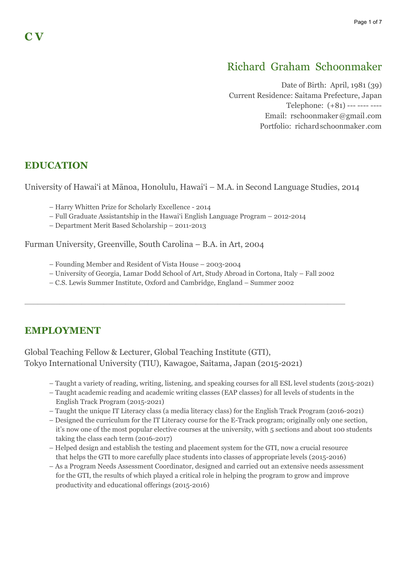# Richard Graham Schoonmaker

Date of Birth: April, 1981 (39) Current Residence: Saitama Prefecture, Japan Telephone: (+81) --- ---- ---- Email: rschoonmaker@gmail.com Portfolio: richardschoonmaker .com

### **EDUCATION**

University of Hawai'i at Mānoa, Honolulu, Hawai'i – M.A. in Second Language Studies, 2014

- Harry Whitten Prize for Scholarly Excellence 2014
- Full Graduate Assistantship in the Hawai'i English Language Program 2012-2014
- Department Merit Based Scholarship 2011-2013

Furman University, Greenville, South Carolina – B.A. in Art, 2004

- Founding Member and Resident of Vista House 2003-2004
- University of Georgia, Lamar Dodd School of Art, Study Abroad in Cortona, Italy Fall 2002

 $\Box$ 

– C.S. Lewis Summer Institute, Oxford and Cambridge, England – Summer 2002

### **EMPLOYMENT**

Global Teaching Fellow & Lecturer, Global Teaching Institute (GTI), Tokyo International University (TIU), Kawagoe, Saitama, Japan (2015-2021)

- Taught a variety of reading, writing, listening, and speaking courses for all ESL level students (2015-2021)
- Taught academic reading and academic writing classes (EAP classes) for all levels of students in the English Track Program (2015-2021)
- Taught the unique IT Literacy class (a media literacy class) for the English Track Program (2016-2021)
- Designed the curriculum for the IT Literacy course for the E-Track program; originally only one section, it's now one of the most popular elective courses at the university, with 5 sections and about 100 students taking the class each term (2016-2017)
- Helped design and establish the testing and placement system for the GTI, now a crucial resource that helps the GTI to more carefully place students into classes of appropriate levels (2015-2016)
- As a Program Needs Assessment Coordinator, designed and carried out an extensive needs assessment for the GTI, the results of which played a critical role in helping the program to grow and improve productivity and educational offerings (2015-2016)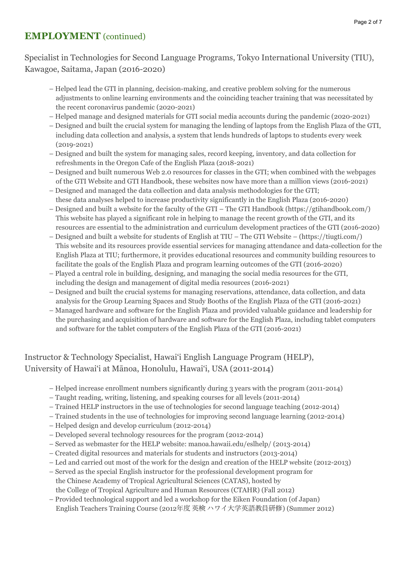### **EMPLOYMENT** (continued)

### Specialist in Technologies for Second Language Programs, Tokyo International University (TIU), Kawagoe, Saitama, Japan (2016-2020)

- Helped lead the GTI in planning, decision-making, and creative problem solving for the numerous adjustments to online learning environments and the coinciding teacher training that was necessitated by the recent coronavirus pandemic (2020-2021)
- Helped manage and designed materials for GTI social media accounts during the pandemic (2020-2021)
- Designed and built the crucial system for managing the lending of laptops from the English Plaza of the GTI, including data collection and analysis, a system that lends hundreds of laptops to students every week (2019-2021)
- Designed and built the system for managing sales, record keeping, inventory, and data collection for refreshments in the Oregon Cafe of the English Plaza (2018-2021)
- Designed and built numerous Web 2.0 resources for classes in the GTI; when combined with the webpages of the GTI Website and GTI Handbook, these websites now have more than a million views (2016-2021)
- Designed and managed the data collection and data analysis methodologies for the GTI; these data analyses helped to increase productivity significantly in the English Plaza (2016-2020)
- Designed and built a website for the faculty of the GTI The GTI Handbook (https://gtihandbook.com/) This website has played a significant role in helping to manage the recent growth of the GTI, and its resources are essential to the administration and curriculum development practices of the GTI (2016-2020)
- Designed and built a website for students of English at TIU The GTI Website (https://tiugti.com/) This website and its resources provide essential services for managing attendance and data-collection for the English Plaza at TIU; furthermore, it provides educational resources and community building resources to facilitate the goals of the English Plaza and program learning outcomes of the GTI (2016-2020)
- Played a central role in building, designing, and managing the social media resources for the GTI, including the design and management of digital media resources (2016-2021)
- Designed and built the crucial systems for managing reservations, attendance, data collection, and data analysis for the Group Learning Spaces and Study Booths of the English Plaza of the GTI (2016-2021)
- Managed hardware and software for the English Plaza and provided valuable guidance and leadership for the purchasing and acquisition of hardware and software for the English Plaza, including tablet computers and software for the tablet computers of the English Plaza of the GTI (2016-2021)

### Instructor & Technology Specialist, Hawai'i English Language Program (HELP), University of Hawai'i at Mānoa, Honolulu, Hawai'i, USA (2011-2014)

- Helped increase enrollment numbers significantly during 3 years with the program (2011-2014)
- Taught reading, writing, listening, and speaking courses for all levels (2011-2014)
- Trained HELP instructors in the use of technologies for second language teaching (2012-2014)
- Trained students in the use of technologies for improving second language learning (2012-2014)
- Helped design and develop curriculum (2012-2014)
- Developed several technology resources for the program (2012-2014)
- Served as webmaster for the HELP website: manoa.hawaii.edu/eslhelp/ (2013-2014)
- Created digital resources and materials for students and instructors (2013-2014)
- Led and carried out most of the work for the design and creation of the HELP website (2012-2013)
- Served as the special English instructor for the professional development program for the Chinese Academy of Tropical Agricultural Sciences (CATAS), hosted by the College of Tropical Agriculture and Human Resources (CTAHR) (Fall 2012)
- Provided technological support and led a workshop for the Eiken Foundation (of Japan) English Teachers Training Course (2012年度 英検 ハワイ⼤学英語教員研修) (Summer 2012)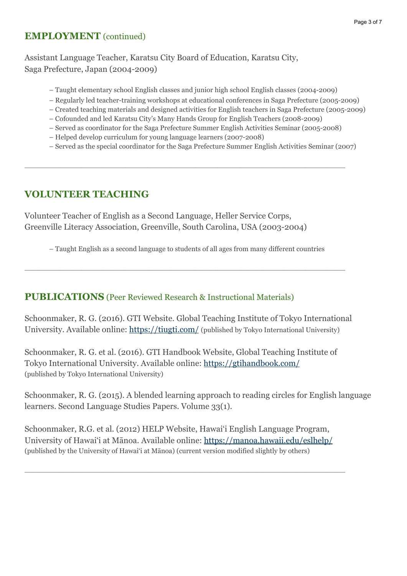### **EMPLOYMENT** (continued)

Assistant Language Teacher, Karatsu City Board of Education, Karatsu City, Saga Prefecture, Japan (2004-2009)

- Taught elementary school English classes and junior high school English classes (2004-2009)
- Regularly led teacher-training workshops at educational conferences in Saga Prefecture (2005-2009)
- Created teaching materials and designed activities for English teachers in Saga Prefecture (2005-2009)
- Cofounded and led Karatsu City's Many Hands Group for English Teachers (2008-2009)

 $\Box$ 

- Served as coordinator for the Saga Prefecture Summer English Activities Seminar (2005-2008)
- Helped develop curriculum for young language learners (2007-2008)
- Served as the special coordinator for the Saga Prefecture Summer English Activities Seminar (2007)

## **VOLUNTEER TEACHING**

Volunteer Teacher of English as a Second Language, Heller Service Corps, Greenville Literacy Association, Greenville, South Carolina, USA (2003-2004)

– Taught English as a second language to students of all ages from many different countries

 $\Box$ 

### **PUBLICATIONS** (Peer Reviewed Research & Instructional Materials)

Schoonmaker, R. G. (2016). GTI Website. Global Teaching Institute of Tokyo International University. Available online:<https://tiugti.com/> (published by Tokyo International University)

Schoonmaker, R. G. et al. (2016). GTI Handbook Website, Global Teaching Institute of Tokyo International University. Available online:<https://gtihandbook.com/> (published by Tokyo International University)

Schoonmaker, R. G. (2015). A blended learning approach to reading circles for English language learners. Second Language Studies Papers. Volume 33(1).

Schoonmaker, R.G. et al. (2012) HELP Website, Hawai'i English Language Program, University of Hawai'i at Mānoa. Available online:<https://manoa.hawaii.edu/eslhelp/> (published by the University of Hawai'i at Mānoa) (current version modified slightly by others)

 $\Box$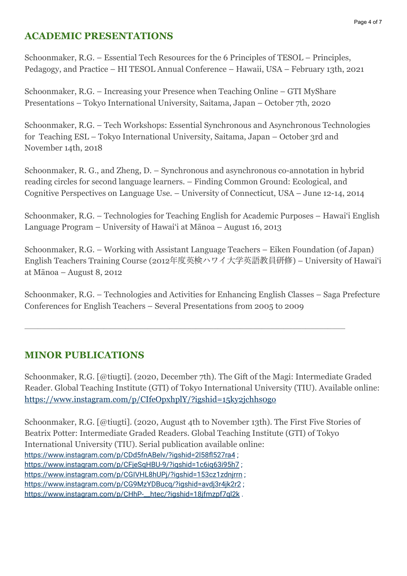# **ACADEMIC PRESENTATIONS**

Schoonmaker, R.G. – Essential Tech Resources for the 6 Principles of TESOL – Principles, Pedagogy, and Practice – HI TESOL Annual Conference – Hawaii, USA – February 13th, 2021

Schoonmaker, R.G. – Increasing your Presence when Teaching Online – GTI MyShare Presentations – Tokyo International University, Saitama, Japan – October 7th, 2020

Schoonmaker, R.G. – Tech Workshops: Essential Synchronous and Asynchronous Technologies for Teaching ESL – Tokyo International University, Saitama, Japan – October 3rd and November 14th, 2018

Schoonmaker, R. G., and Zheng, D. – Synchronous and asynchronous co-annotation in hybrid reading circles for second language learners. – Finding Common Ground: Ecological, and Cognitive Perspectives on Language Use. – University of Connecticut, USA – June 12-14, 2014

Schoonmaker, R.G. – Technologies for Teaching English for Academic Purposes – Hawai'i English Language Program – University of Hawai'i at Mānoa – August 16, 2013

Schoonmaker, R.G. – Working with Assistant Language Teachers – Eiken Foundation (of Japan) English Teachers Training Course (2012 年度英検ハワイ⼤学英語教員研修) – University of Hawai'i at Mānoa – August 8, 2012

Schoonmaker, R.G. – Technologies and Activities for Enhancing English Classes – Saga Prefecture Conferences for English Teachers – Several Presentations from 2005 to 2009

 $\Box$ 

# **MINOR PUBLICATIONS**

Schoonmaker, R.G. [@tiugti]. (2020, December 7th). The Gift of the Magi: Intermediate Graded Reader. Global Teaching Institute (GTI) of Tokyo International University (TIU). Available online: <https://www.instagram.com/p/CIfeOpxhplY/?igshid=15ky2jchhs0go>

Schoonmaker, R.G. [@tiugti]. (2020, August 4th to November 13th). The First Five Stories of Beatrix Potter: Intermediate Graded Readers. Global Teaching Institute (GTI) of Tokyo International University (TIU). Serial publication available online: <https://www.instagram.com/p/CDd5fnABelv/?igshid=2l58fl527ra4>; https://www.instagram.com/p/CFjeSqHBU-9/?igshid=1c6ig63i95h7; <https://www.instagram.com/p/CGIVHL8hUPj/?igshid=153cz1zdnjrrn> ; <https://www.instagram.com/p/CG9MzYDBucq/?igshid=avdj3r4jk2r2> ; https://www.instagram.com/p/CHhP-\_htec/?igshid=18jfmzpf7ql2k.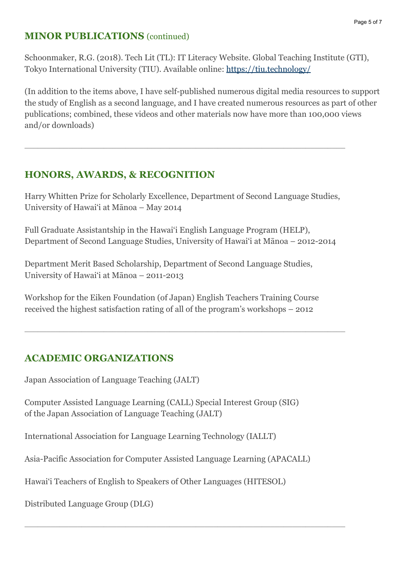### **MINOR PUBLICATIONS** (continued)

Schoonmaker, R.G. (2018). Tech Lit (TL): IT Literacy Website. Global Teaching Institute (GTI), Tokyo International University (TIU). Available online:<https://tiu.technology/>

(In addition to the items above, I have self-published numerous digital media resources to support the study of English as a second language, and I have created numerous resources as part of other publications; combined, these videos and other materials now have more than 100,000 views and/or downloads)

## **HONORS, AWARDS, & RECOGNITION**

Harry Whitten Prize for Scholarly Excellence, Department of Second Language Studies, University of Hawai'i at Mānoa – May 2014

 $\_$  , and the state of the state of the state of the state of the state of the state of the state of the state of the state of the state of the state of the state of the state of the state of the state of the state of the

Full Graduate Assistantship in the Hawai'i English Language Program (HELP), Department of Second Language Studies, University of Hawai'i at Mānoa – 2012-2014

Department Merit Based Scholarship, Department of Second Language Studies, University of Hawai'i at Mānoa – 2011-2013

Workshop for the Eiken Foundation (of Japan) English Teachers Training Course received the highest satisfaction rating of all of the program's workshops – 2012

 $\Box$ 

# **ACADEMIC ORGANIZATIONS**

Japan Association of Language Teaching (JALT)

Computer Assisted Language Learning (CALL) Special Interest Group (SIG) of the Japan Association of Language Teaching (JALT)

International Association for Language Learning Technology (IALLT)

Asia-Pacific Association for Computer Assisted Language Learning (APACALL)

 $\Box$ 

Hawai'i Teachers of English to Speakers of Other Languages (HITESOL)

Distributed Language Group (DLG)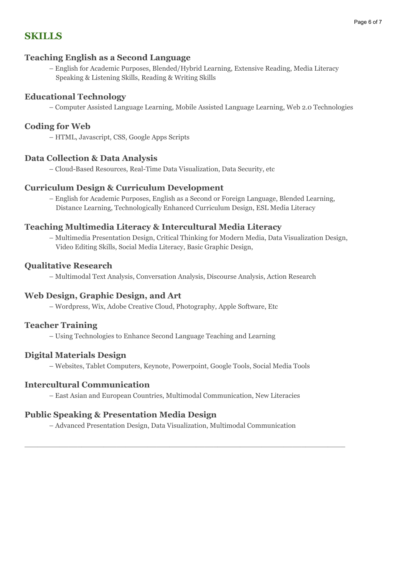### **SKILLS**

#### **Teaching English as a Second Language**

– English for Academic Purposes, Blended/Hybrid Learning, Extensive Reading, Media Literacy Speaking & Listening Skills, Reading & Writing Skills

#### **Educational Technology**

– Computer Assisted Language Learning, Mobile Assisted Language Learning, Web 2.0 Technologies

#### **Coding for Web**

– HTML, Javascript, CSS, Google Apps Scripts

#### **Data Collection & Data Analysis**

– Cloud-Based Resources, Real-Time Data Visualization, Data Security, etc

#### **Curriculum Design & Curriculum Development**

– English for Academic Purposes, English as a Second or Foreign Language, Blended Learning, Distance Learning, Technologically Enhanced Curriculum Design, ESL Media Literacy

#### **Teaching Multimedia Literacy & Intercultural Media Literacy**

– Multimedia Presentation Design, Critical Thinking for Modern Media, Data Visualization Design, Video Editing Skills, Social Media Literacy, Basic Graphic Design,

#### **Qualitative Research**

– Multimodal Text Analysis, Conversation Analysis, Discourse Analysis, Action Research

#### **Web Design, Graphic Design, and Art**

– Wordpress, Wix, Adobe Creative Cloud, Photography, Apple Software, Etc

#### **Teacher Training**

– Using Technologies to Enhance Second Language Teaching and Learning

#### **Digital Materials Design**

– Websites, Tablet Computers, Keynote, Powerpoint, Google Tools, Social Media Tools

#### **Intercultural Communication**

– East Asian and European Countries, Multimodal Communication, New Literacies

#### **Public Speaking & Presentation Media Design**

– Advanced Presentation Design, Data Visualization, Multimodal Communication

 $\_$  , and the set of the set of the set of the set of the set of the set of the set of the set of the set of the set of the set of the set of the set of the set of the set of the set of the set of the set of the set of th